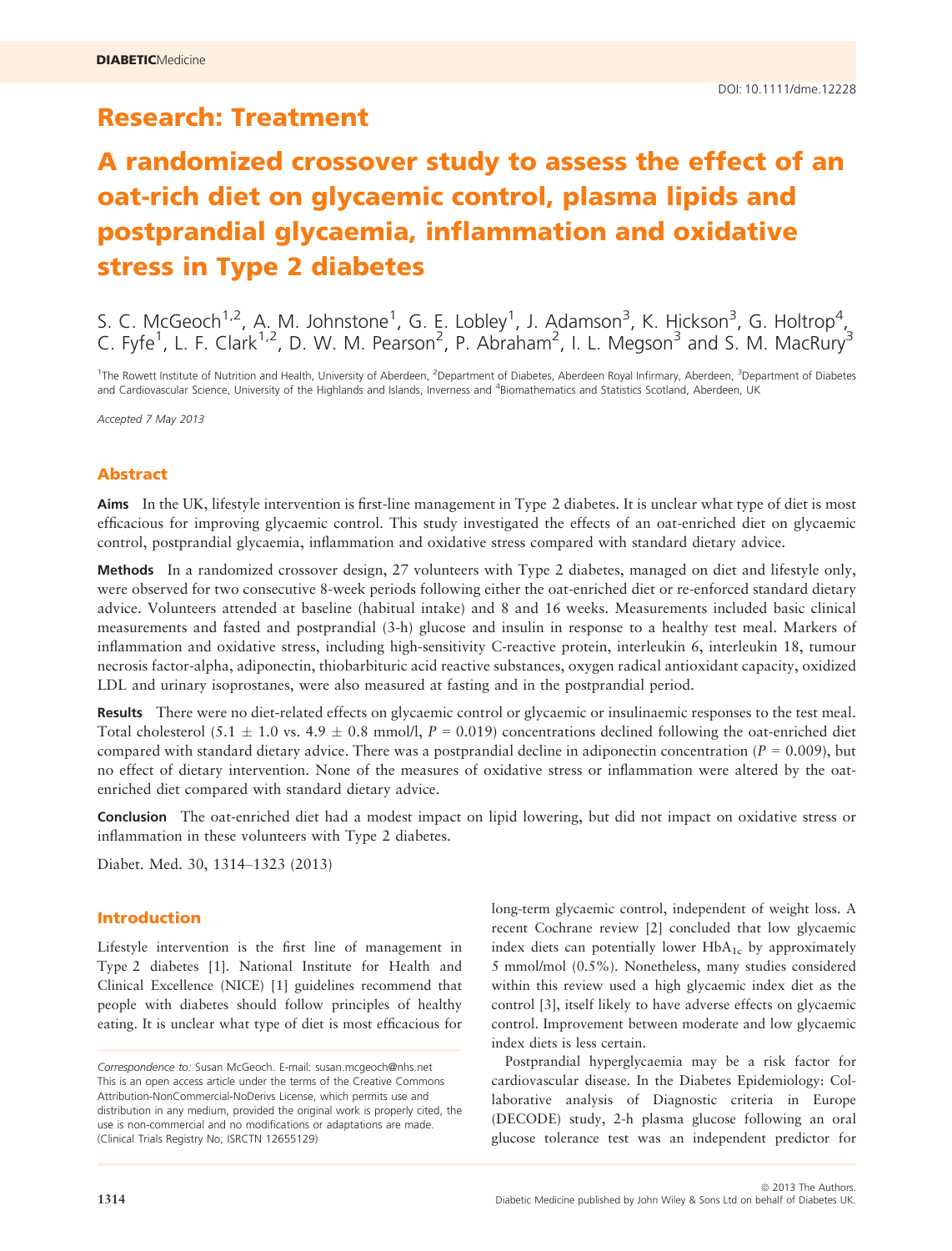## Research: Treatment

# A randomized crossover study to assess the effect of an oat-rich diet on glycaemic control, plasma lipids and postprandial glycaemia, inflammation and oxidative stress in Type 2 diabetes

S. C. McGeoch<sup>1,2</sup>, A. M. Johnstone<sup>1</sup>, G. E. Lobley<sup>1</sup>, J. Adamson<sup>3</sup>, K. Hickson<sup>3</sup>, G. Holtrop<sup>4</sup>, C. Fyfe<sup>1</sup>, L. F. Clark<sup>1,2</sup>, D. W. M. Pearson<sup>2</sup>, P. Abraham<sup>2</sup>, I. L. Megson<sup>3</sup> and S. M. MacRury<sup>3</sup>

<sup>1</sup>The Rowett Institute of Nutrition and Health, University of Aberdeen, <sup>2</sup>Department of Diabetes, Aberdeen Royal Infirmary, Aberdeen, <sup>3</sup>Department of Diabetes and Cardiovascular Science, University of the Highlands and Islands, Inverness and <sup>4</sup>Biomathematics and Statistics Scotland, Aberdeen, UK

Accepted 7 May 2013

### Abstract

Aims In the UK, lifestyle intervention is first-line management in Type 2 diabetes. It is unclear what type of diet is most efficacious for improving glycaemic control. This study investigated the effects of an oat-enriched diet on glycaemic control, postprandial glycaemia, inflammation and oxidative stress compared with standard dietary advice.

Methods In a randomized crossover design, 27 volunteers with Type 2 diabetes, managed on diet and lifestyle only, were observed for two consecutive 8-week periods following either the oat-enriched diet or re-enforced standard dietary advice. Volunteers attended at baseline (habitual intake) and 8 and 16 weeks. Measurements included basic clinical measurements and fasted and postprandial (3-h) glucose and insulin in response to a healthy test meal. Markers of inflammation and oxidative stress, including high-sensitivity C-reactive protein, interleukin 6, interleukin 18, tumour necrosis factor-alpha, adiponectin, thiobarbituric acid reactive substances, oxygen radical antioxidant capacity, oxidized LDL and urinary isoprostanes, were also measured at fasting and in the postprandial period.

Results There were no diet-related effects on glycaemic control or glycaemic or insulinaemic responses to the test meal. Total cholesterol (5.1  $\pm$  1.0 vs. 4.9  $\pm$  0.8 mmol/l, P = 0.019) concentrations declined following the oat-enriched diet compared with standard dietary advice. There was a postprandial decline in adiponectin concentration ( $P = 0.009$ ), but no effect of dietary intervention. None of the measures of oxidative stress or inflammation were altered by the oatenriched diet compared with standard dietary advice.

Conclusion The oat-enriched diet had a modest impact on lipid lowering, but did not impact on oxidative stress or inflammation in these volunteers with Type 2 diabetes.

Diabet. Med. 30, 1314–1323 (2013)

#### Introduction

Lifestyle intervention is the first line of management in Type 2 diabetes [1]. National Institute for Health and Clinical Excellence (NICE) [1] guidelines recommend that people with diabetes should follow principles of healthy eating. It is unclear what type of diet is most efficacious for long-term glycaemic control, independent of weight loss. A recent Cochrane review [2] concluded that low glycaemic index diets can potentially lower  $HbA_{1c}$  by approximately 5 mmol/mol (0.5%). Nonetheless, many studies considered within this review used a high glycaemic index diet as the control [3], itself likely to have adverse effects on glycaemic control. Improvement between moderate and low glycaemic index diets is less certain.

Postprandial hyperglycaemia may be a risk factor for cardiovascular disease. In the Diabetes Epidemiology: Collaborative analysis of Diagnostic criteria in Europe (DECODE) study, 2-h plasma glucose following an oral glucose tolerance test was an independent predictor for

Correspondence to: Susan McGeoch. E-mail: susan.mcgeoch@nhs.net This is an open access article under the terms of the Creative Commons Attribution-NonCommercial-NoDerivs License, which permits use and distribution in any medium, provided the original work is properly cited, the use is non-commercial and no modifications or adaptations are made. (Clinical Trials Registry No; ISRCTN 12655129)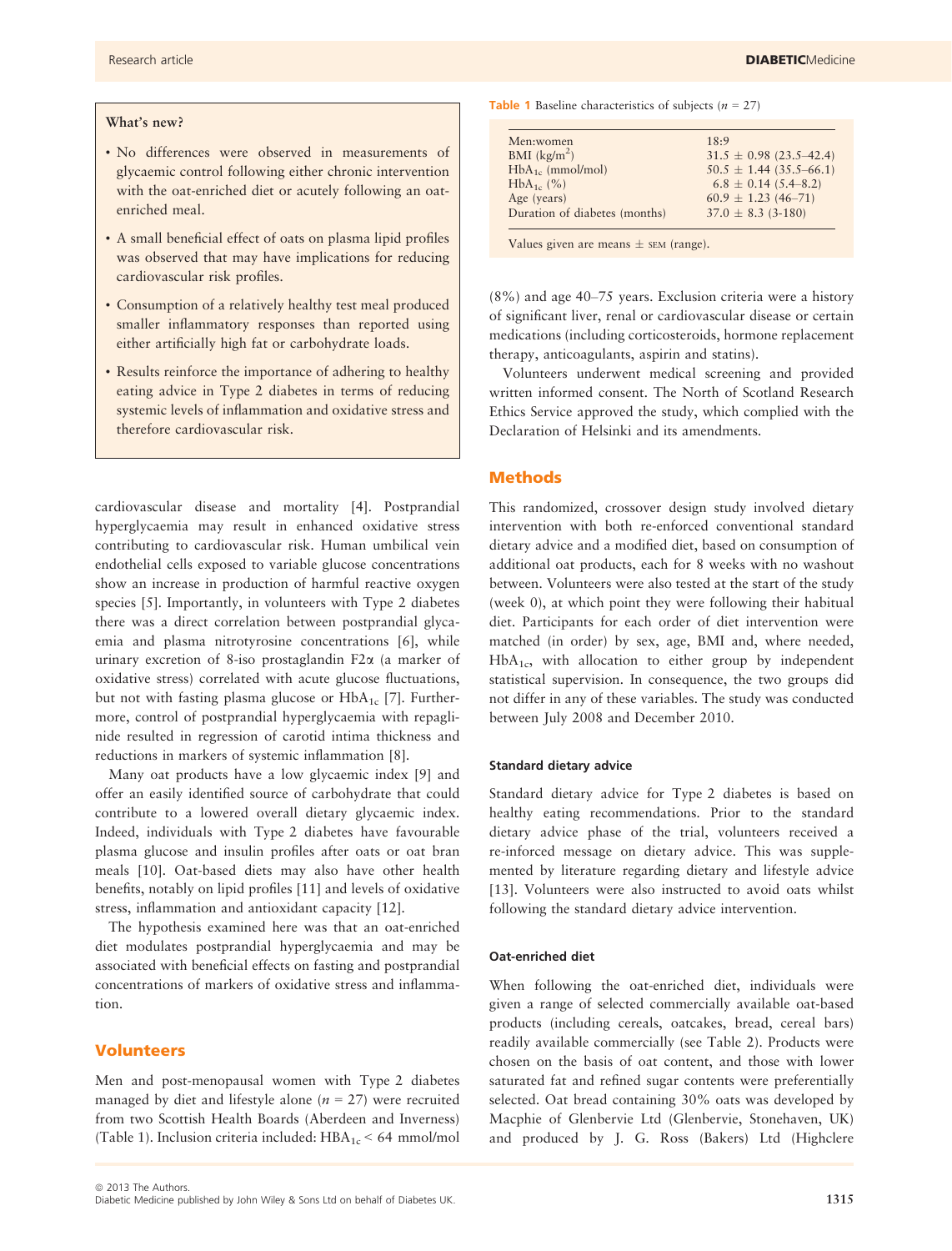#### What's new?

- No differences were observed in measurements of glycaemic control following either chronic intervention with the oat-enriched diet or acutely following an oatenriched meal.
- A small beneficial effect of oats on plasma lipid profiles was observed that may have implications for reducing cardiovascular risk profiles.
- Consumption of a relatively healthy test meal produced smaller inflammatory responses than reported using either artificially high fat or carbohydrate loads.
- Results reinforce the importance of adhering to healthy eating advice in Type 2 diabetes in terms of reducing systemic levels of inflammation and oxidative stress and therefore cardiovascular risk.

cardiovascular disease and mortality [4]. Postprandial hyperglycaemia may result in enhanced oxidative stress contributing to cardiovascular risk. Human umbilical vein endothelial cells exposed to variable glucose concentrations show an increase in production of harmful reactive oxygen species [5]. Importantly, in volunteers with Type 2 diabetes there was a direct correlation between postprandial glycaemia and plasma nitrotyrosine concentrations [6], while urinary excretion of 8-iso prostaglandin F2a (a marker of oxidative stress) correlated with acute glucose fluctuations, but not with fasting plasma glucose or  $HbA_{1c}$  [7]. Furthermore, control of postprandial hyperglycaemia with repaglinide resulted in regression of carotid intima thickness and reductions in markers of systemic inflammation [8].

Many oat products have a low glycaemic index [9] and offer an easily identified source of carbohydrate that could contribute to a lowered overall dietary glycaemic index. Indeed, individuals with Type 2 diabetes have favourable plasma glucose and insulin profiles after oats or oat bran meals [10]. Oat-based diets may also have other health benefits, notably on lipid profiles [11] and levels of oxidative stress, inflammation and antioxidant capacity [12].

The hypothesis examined here was that an oat-enriched diet modulates postprandial hyperglycaemia and may be associated with beneficial effects on fasting and postprandial concentrations of markers of oxidative stress and inflammation.

#### Volunteers

Men and post-menopausal women with Type 2 diabetes managed by diet and lifestyle alone ( $n = 27$ ) were recruited from two Scottish Health Boards (Aberdeen and Inverness) (Table 1). Inclusion criteria included:  $HBA_{1c} < 64$  mmol/mol

#### **Table 1** Baseline characteristics of subjects ( $n = 27$ )

| Men:women                     | 18:9                            |
|-------------------------------|---------------------------------|
| BMI $(kg/m2)$                 | $31.5 \pm 0.98$ (23.5-42.4)     |
| $HbA_{1c}$ (mmol/mol)         | $50.5 \pm 1.44 \ (35.5 - 66.1)$ |
| $HbA_{1c}$ (%)                | $6.8 \pm 0.14$ (5.4–8.2)        |
| Age (years)                   | $60.9 \pm 1.23(46-71)$          |
| Duration of diabetes (months) | $37.0 \pm 8.3$ (3-180)          |
|                               |                                 |

Values given are means  $\pm$  sEM (range).

(8%) and age 40–75 years. Exclusion criteria were a history of significant liver, renal or cardiovascular disease or certain medications (including corticosteroids, hormone replacement therapy, anticoagulants, aspirin and statins).

Volunteers underwent medical screening and provided written informed consent. The North of Scotland Research Ethics Service approved the study, which complied with the Declaration of Helsinki and its amendments.

#### **Methods**

This randomized, crossover design study involved dietary intervention with both re-enforced conventional standard dietary advice and a modified diet, based on consumption of additional oat products, each for 8 weeks with no washout between. Volunteers were also tested at the start of the study (week 0), at which point they were following their habitual diet. Participants for each order of diet intervention were matched (in order) by sex, age, BMI and, where needed,  $HbA_{1c}$ , with allocation to either group by independent statistical supervision. In consequence, the two groups did not differ in any of these variables. The study was conducted between July 2008 and December 2010.

#### Standard dietary advice

Standard dietary advice for Type 2 diabetes is based on healthy eating recommendations. Prior to the standard dietary advice phase of the trial, volunteers received a re-inforced message on dietary advice. This was supplemented by literature regarding dietary and lifestyle advice [13]. Volunteers were also instructed to avoid oats whilst following the standard dietary advice intervention.

#### Oat-enriched diet

When following the oat-enriched diet, individuals were given a range of selected commercially available oat-based products (including cereals, oatcakes, bread, cereal bars) readily available commercially (see Table 2). Products were chosen on the basis of oat content, and those with lower saturated fat and refined sugar contents were preferentially selected. Oat bread containing 30% oats was developed by Macphie of Glenbervie Ltd (Glenbervie, Stonehaven, UK) and produced by J. G. Ross (Bakers) Ltd (Highclere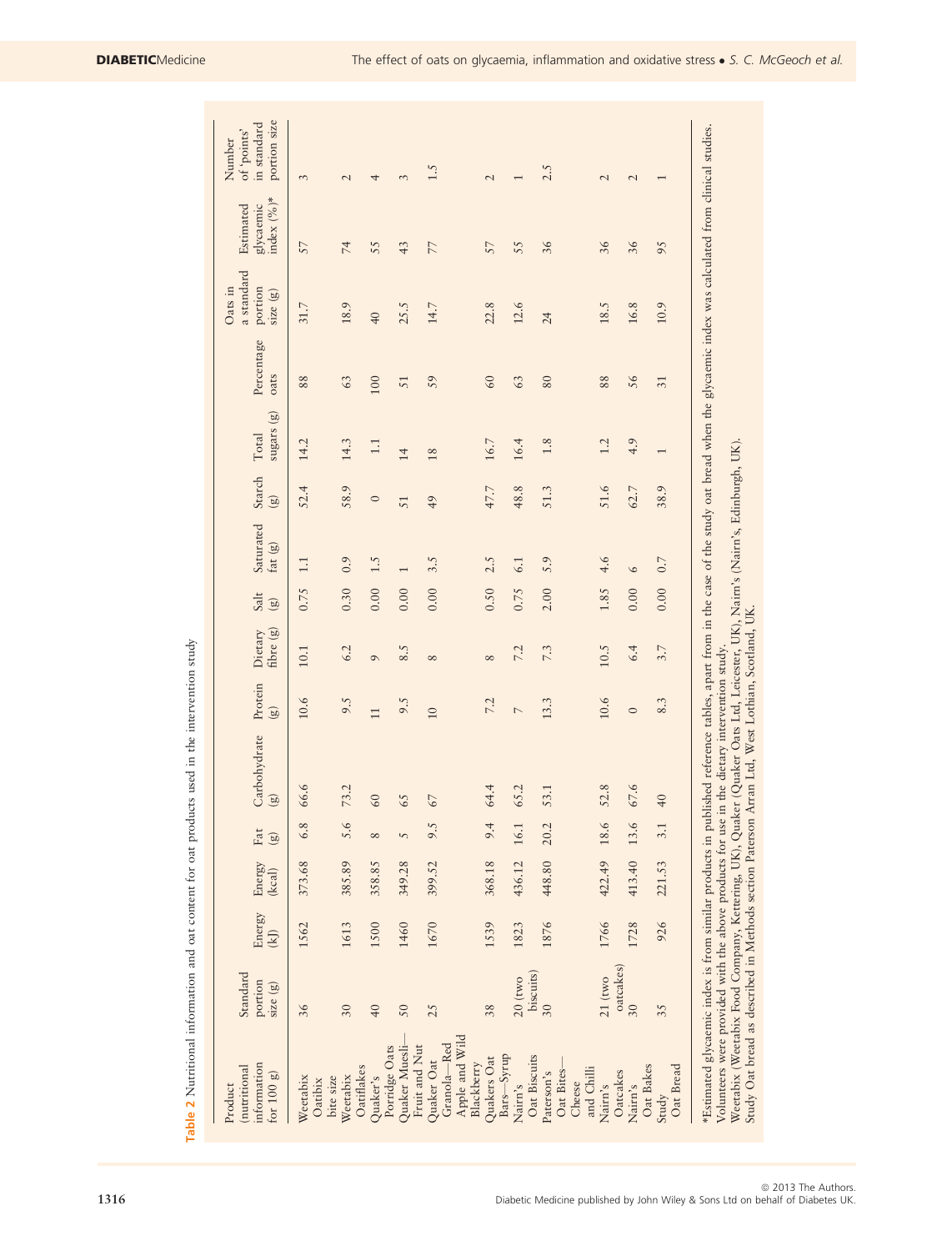| information<br>(nutritional<br>for $100g$<br>Product                                                                                                                                                                                                                                                                                                                                                                                                                                          | Standard<br>portion<br>size (g) | Energy<br>(kJ) | Energy<br>(kcal) | Fat<br>$\left( \frac{a}{2} \right)$ | Carbohydrate<br>$\left( \frac{a}{2}\right)$ | Protein<br>$\left(\frac{8}{2}\right)$ | Dietary<br>fibre (g) | Salt<br>$\left(\frac{1}{2}\right)$ | Saturated<br>fat (g) | Starch<br>$\circledg$ | sugars (g)<br>Total      | Percentage<br>oats | a standard<br>Oats in<br>portion<br>size $(g)$ | index $(%)*$<br>Estimated<br>glycaemic | portion size<br>in standard<br>of 'points'<br>Number |
|-----------------------------------------------------------------------------------------------------------------------------------------------------------------------------------------------------------------------------------------------------------------------------------------------------------------------------------------------------------------------------------------------------------------------------------------------------------------------------------------------|---------------------------------|----------------|------------------|-------------------------------------|---------------------------------------------|---------------------------------------|----------------------|------------------------------------|----------------------|-----------------------|--------------------------|--------------------|------------------------------------------------|----------------------------------------|------------------------------------------------------|
| Weetabix<br>Oatibix                                                                                                                                                                                                                                                                                                                                                                                                                                                                           | 36                              | 1562           | 373.68           | 6.8                                 | 66.6                                        | 10.6                                  | 10.1                 | 0.75                               | 1.1                  | 52.4                  | 14.2                     | 88                 | 31.7                                           | 57                                     | 3                                                    |
| Weetabix<br>bite size                                                                                                                                                                                                                                                                                                                                                                                                                                                                         | 30                              | 1613           | 385.89           | 5.6                                 | 73.2                                        | 9.5                                   | 6.2                  | 0.30                               | 0.9                  | 58.9                  | 14.3                     | 63                 | 18.9                                           | 74                                     | $\overline{\mathcal{L}}$                             |
| Oatiflakes<br>Quaker's                                                                                                                                                                                                                                                                                                                                                                                                                                                                        | 40                              | 1500           | 358.85           | $^{\circ}$                          | 60                                          | 11                                    | $\sigma$             | 0.00                               | 1.5                  | $\circ$               | $1.1\,$                  | 100                | 40                                             | 55                                     | 4                                                    |
| Porridge Oats<br>Quaker Muesli-                                                                                                                                                                                                                                                                                                                                                                                                                                                               | 50                              | 1460           | 349.28           | $\overline{5}$                      | 65                                          | 9.5                                   | 8.5                  | 0.00                               |                      | 51                    | $\overline{14}$          | 51                 | 25.5                                           | 43                                     | $\infty$                                             |
| Apple and Wild<br>Granola-Red<br>Fruit and Nut<br>Quaker Oat                                                                                                                                                                                                                                                                                                                                                                                                                                  | 25                              | 1670           | 399.52           | 9.5                                 | 67                                          | 10                                    | $\infty$             | 0.00                               | 3.5                  | 49                    | $\frac{8}{2}$            | 59                 | 14.7                                           | 77                                     | 1.5                                                  |
| Quakers Oat<br>Blackberry                                                                                                                                                                                                                                                                                                                                                                                                                                                                     | 38                              | 1539           | 368.18           | 9.4                                 | 64.4                                        | 7.2                                   | $\infty$             | 0.50                               | 2.5                  | 47.7                  | 16.7                     | 60                 | 22.8                                           | 57                                     | $\overline{\mathcal{L}}$                             |
| Bars-Syrup<br>Naim's                                                                                                                                                                                                                                                                                                                                                                                                                                                                          | $20$ (two                       | 1823           | 436.12           | 16.1                                | 65.2                                        | $\overline{a}$                        | 7.2                  | 0.75                               | 6.1                  | 48.8                  | 16.4                     | 63                 | 12.6                                           | 55                                     |                                                      |
| Oat Biscuits<br>Paterson's                                                                                                                                                                                                                                                                                                                                                                                                                                                                    | biscuits)<br>30 <sub>o</sub>    | 1876           | 448.80           | 20.2                                | 53.1                                        | 13.3                                  | 7.3                  | 2.00                               | 5.9                  | 51.3                  | 1.8                      | 80                 | 24                                             | 36                                     | 2.5                                                  |
| and Chilli<br>Oat Bites-<br>Cheese                                                                                                                                                                                                                                                                                                                                                                                                                                                            |                                 |                |                  |                                     |                                             |                                       |                      |                                    |                      |                       |                          |                    |                                                |                                        |                                                      |
| Oatcakes<br>Naim's                                                                                                                                                                                                                                                                                                                                                                                                                                                                            | oatcakes)<br>21 (two            | 1766           | 422.49 18.6      |                                     | 52.8                                        | 10.6                                  | 10.5                 | 1.85                               | 4.6                  | 51.6                  | 1.2                      | 88                 | 18.5                                           | 36                                     | $\sim$                                               |
| Oat Bakes<br>Naim's                                                                                                                                                                                                                                                                                                                                                                                                                                                                           | 30                              | 1728           | 413.40           | 13.6                                | 67.6                                        | $\circ$                               | 6.4                  | 0.00                               | $\circ$              | 62.7                  | 4.9                      | 56                 | 16.8                                           | 36                                     | $\sim$                                               |
| Oat Bread<br>Study                                                                                                                                                                                                                                                                                                                                                                                                                                                                            | 35                              | 926            | 221.53           | 3.1                                 | 40                                          | 8.3                                   | 3.7                  | 0.00                               | 0.7                  | 38.9                  | $\overline{\phantom{0}}$ | 31                 | 10.9                                           | 95                                     |                                                      |
| *Estimated glycaemic index is from similar products in published reference tables, apart from in the case of the study oat bread when the glycaemic index was calculated from clinical studies.<br>Weetabix (Weetabix Food Company, Kettering, UK), Quaker (Quaker Oats Ltd, Leicester, UK), Nairn's (Nairn's, Edinburgh, UK).<br>Study Oat bread as described in Methods section Paterson Arran Ltd, West Lothian, Scotland, UK.<br>Volunteers were provided with the above products for use |                                 |                |                  |                                     | in the dietary intervention study.          |                                       |                      |                                    |                      |                       |                          |                    |                                                |                                        |                                                      |

Table 2 Nutritional information and oat content for oat products used in the intervention study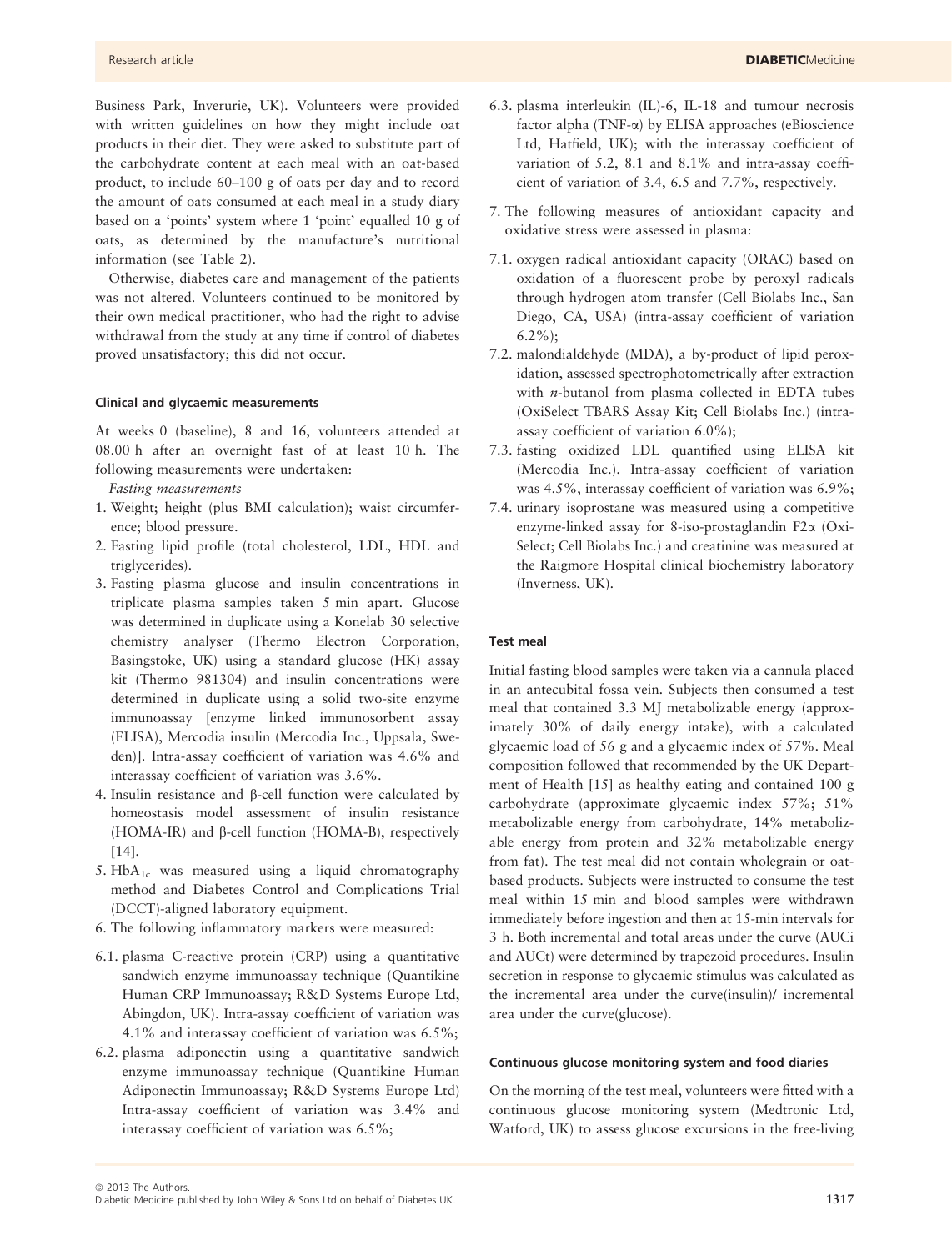Business Park, Inverurie, UK). Volunteers were provided with written guidelines on how they might include oat products in their diet. They were asked to substitute part of the carbohydrate content at each meal with an oat-based product, to include 60–100 g of oats per day and to record the amount of oats consumed at each meal in a study diary based on a 'points' system where 1 'point' equalled 10 g of oats, as determined by the manufacture's nutritional information (see Table 2).

Otherwise, diabetes care and management of the patients was not altered. Volunteers continued to be monitored by their own medical practitioner, who had the right to advise withdrawal from the study at any time if control of diabetes proved unsatisfactory; this did not occur.

#### Clinical and glycaemic measurements

At weeks 0 (baseline), 8 and 16, volunteers attended at 08.00 h after an overnight fast of at least 10 h. The following measurements were undertaken:

Fasting measurements

- 1. Weight; height (plus BMI calculation); waist circumference; blood pressure.
- 2. Fasting lipid profile (total cholesterol, LDL, HDL and triglycerides).
- 3. Fasting plasma glucose and insulin concentrations in triplicate plasma samples taken 5 min apart. Glucose was determined in duplicate using a Konelab 30 selective chemistry analyser (Thermo Electron Corporation, Basingstoke, UK) using a standard glucose (HK) assay kit (Thermo 981304) and insulin concentrations were determined in duplicate using a solid two-site enzyme immunoassay [enzyme linked immunosorbent assay (ELISA), Mercodia insulin (Mercodia Inc., Uppsala, Sweden)]. Intra-assay coefficient of variation was 4.6% and interassay coefficient of variation was 3.6%.
- 4. Insulin resistance and  $\beta$ -cell function were calculated by homeostasis model assessment of insulin resistance (HOMA-IR) and  $\beta$ -cell function (HOMA-B), respectively [14].
- 5.  $HbA_{1c}$  was measured using a liquid chromatography method and Diabetes Control and Complications Trial (DCCT)-aligned laboratory equipment.
- 6. The following inflammatory markers were measured:
- 6.1. plasma C-reactive protein (CRP) using a quantitative sandwich enzyme immunoassay technique (Quantikine Human CRP Immunoassay; R&D Systems Europe Ltd, Abingdon, UK). Intra-assay coefficient of variation was 4.1% and interassay coefficient of variation was 6.5%;
- 6.2. plasma adiponectin using a quantitative sandwich enzyme immunoassay technique (Quantikine Human Adiponectin Immunoassay; R&D Systems Europe Ltd) Intra-assay coefficient of variation was 3.4% and interassay coefficient of variation was 6.5%;
- 6.3. plasma interleukin (IL)-6, IL-18 and tumour necrosis factor alpha (TNF-a) by ELISA approaches (eBioscience Ltd, Hatfield, UK); with the interassay coefficient of variation of 5.2, 8.1 and 8.1% and intra-assay coefficient of variation of 3.4, 6.5 and 7.7%, respectively.
- 7. The following measures of antioxidant capacity and oxidative stress were assessed in plasma:
- 7.1. oxygen radical antioxidant capacity (ORAC) based on oxidation of a fluorescent probe by peroxyl radicals through hydrogen atom transfer (Cell Biolabs Inc., San Diego, CA, USA) (intra-assay coefficient of variation 6.2%);
- 7.2. malondialdehyde (MDA), a by-product of lipid peroxidation, assessed spectrophotometrically after extraction with  $n$ -butanol from plasma collected in EDTA tubes (OxiSelect TBARS Assay Kit; Cell Biolabs Inc.) (intraassay coefficient of variation 6.0%);
- 7.3. fasting oxidized LDL quantified using ELISA kit (Mercodia Inc.). Intra-assay coefficient of variation was 4.5%, interassay coefficient of variation was 6.9%;
- 7.4. urinary isoprostane was measured using a competitive enzyme-linked assay for 8-iso-prostaglandin F2a (Oxi-Select; Cell Biolabs Inc.) and creatinine was measured at the Raigmore Hospital clinical biochemistry laboratory (Inverness, UK).

#### Test meal

Initial fasting blood samples were taken via a cannula placed in an antecubital fossa vein. Subjects then consumed a test meal that contained 3.3 MJ metabolizable energy (approximately 30% of daily energy intake), with a calculated glycaemic load of 56 g and a glycaemic index of 57%. Meal composition followed that recommended by the UK Department of Health [15] as healthy eating and contained 100 g carbohydrate (approximate glycaemic index 57%; 51% metabolizable energy from carbohydrate, 14% metabolizable energy from protein and 32% metabolizable energy from fat). The test meal did not contain wholegrain or oatbased products. Subjects were instructed to consume the test meal within 15 min and blood samples were withdrawn immediately before ingestion and then at 15-min intervals for 3 h. Both incremental and total areas under the curve (AUCi and AUCt) were determined by trapezoid procedures. Insulin secretion in response to glycaemic stimulus was calculated as the incremental area under the curve(insulin)/ incremental area under the curve(glucose).

#### Continuous glucose monitoring system and food diaries

On the morning of the test meal, volunteers were fitted with a continuous glucose monitoring system (Medtronic Ltd, Watford, UK) to assess glucose excursions in the free-living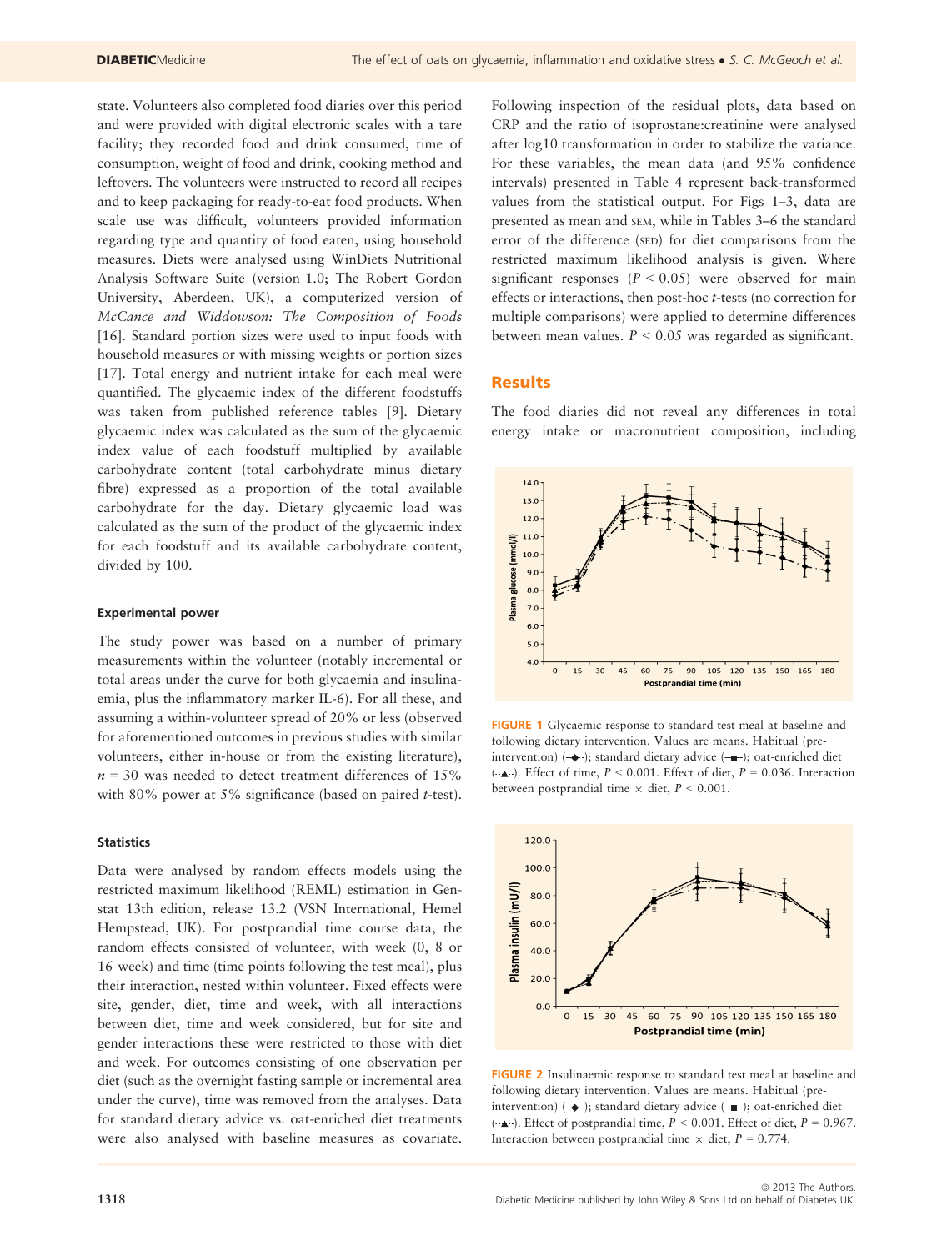state. Volunteers also completed food diaries over this period and were provided with digital electronic scales with a tare facility; they recorded food and drink consumed, time of consumption, weight of food and drink, cooking method and leftovers. The volunteers were instructed to record all recipes and to keep packaging for ready-to-eat food products. When scale use was difficult, volunteers provided information regarding type and quantity of food eaten, using household measures. Diets were analysed using WinDiets Nutritional Analysis Software Suite (version 1.0; The Robert Gordon University, Aberdeen, UK), a computerized version of McCance and Widdowson: The Composition of Foods [16]. Standard portion sizes were used to input foods with household measures or with missing weights or portion sizes [17]. Total energy and nutrient intake for each meal were quantified. The glycaemic index of the different foodstuffs was taken from published reference tables [9]. Dietary glycaemic index was calculated as the sum of the glycaemic index value of each foodstuff multiplied by available carbohydrate content (total carbohydrate minus dietary fibre) expressed as a proportion of the total available carbohydrate for the day. Dietary glycaemic load was calculated as the sum of the product of the glycaemic index for each foodstuff and its available carbohydrate content, divided by 100.

#### Experimental power

The study power was based on a number of primary measurements within the volunteer (notably incremental or total areas under the curve for both glycaemia and insulinaemia, plus the inflammatory marker IL-6). For all these, and assuming a within-volunteer spread of 20% or less (observed for aforementioned outcomes in previous studies with similar volunteers, either in-house or from the existing literature),  $n = 30$  was needed to detect treatment differences of 15% with 80% power at 5% significance (based on paired *t*-test).

#### **Statistics**

Data were analysed by random effects models using the restricted maximum likelihood (REML) estimation in Genstat 13th edition, release 13.2 (VSN International, Hemel Hempstead, UK). For postprandial time course data, the random effects consisted of volunteer, with week (0, 8 or 16 week) and time (time points following the test meal), plus their interaction, nested within volunteer. Fixed effects were site, gender, diet, time and week, with all interactions between diet, time and week considered, but for site and gender interactions these were restricted to those with diet and week. For outcomes consisting of one observation per diet (such as the overnight fasting sample or incremental area under the curve), time was removed from the analyses. Data for standard dietary advice vs. oat-enriched diet treatments were also analysed with baseline measures as covariate. Following inspection of the residual plots, data based on CRP and the ratio of isoprostane:creatinine were analysed after log10 transformation in order to stabilize the variance. For these variables, the mean data (and 95% confidence intervals) presented in Table 4 represent back-transformed values from the statistical output. For Figs 1–3, data are presented as mean and SEM, while in Tables 3–6 the standard error of the difference (SED) for diet comparisons from the restricted maximum likelihood analysis is given. Where significant responses ( $P < 0.05$ ) were observed for main effects or interactions, then post-hoc t-tests (no correction for multiple comparisons) were applied to determine differences between mean values.  $P < 0.05$  was regarded as significant.

#### Results

The food diaries did not reveal any differences in total energy intake or macronutrient composition, including



FIGURE 1 Glycaemic response to standard test meal at baseline and following dietary intervention. Values are means. Habitual (preintervention)  $(-\rightarrow \cdot);$  standard dietary advice  $(-\rightarrow \cdot);$  oat-enriched diet  $(-\triangle)$ . Effect of time,  $P < 0.001$ . Effect of diet,  $P = 0.036$ . Interaction between postprandial time  $\times$  diet,  $P \le 0.001$ .



FIGURE 2 Insulinaemic response to standard test meal at baseline and following dietary intervention. Values are means. Habitual (preintervention)  $(-\rightarrow \cdot);$  standard dietary advice  $(-\rightarrow \cdot);$  oat-enriched diet  $(\cdot \triangle \cdot)$ . Effect of postprandial time,  $P < 0.001$ . Effect of diet,  $P = 0.967$ . Interaction between postprandial time  $\times$  diet,  $P = 0.774$ .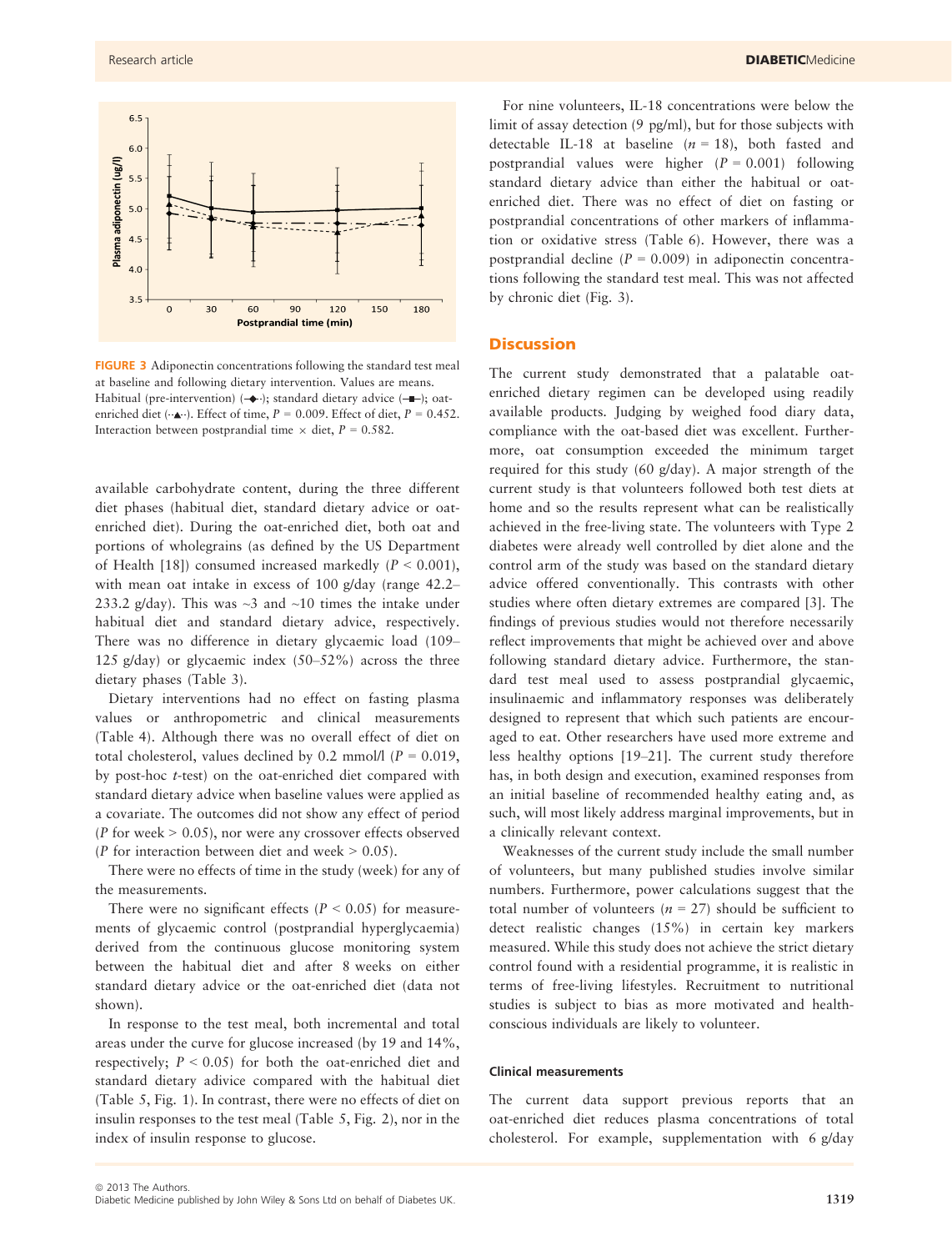

FIGURE 3 Adiponectin concentrations following the standard test meal at baseline and following dietary intervention. Values are means. Habitual (pre-intervention)  $( \rightarrow \cdot )$ ; standard dietary advice  $( \rightarrow \rightarrow )$ ; oatenriched diet ( $\rightarrow$ ). Effect of time,  $P = 0.009$ . Effect of diet,  $P = 0.452$ . Interaction between postprandial time  $\times$  diet,  $P = 0.582$ .

available carbohydrate content, during the three different diet phases (habitual diet, standard dietary advice or oatenriched diet). During the oat-enriched diet, both oat and portions of wholegrains (as defined by the US Department of Health [18]) consumed increased markedly  $(P < 0.001)$ , with mean oat intake in excess of 100 g/day (range 42.2– 233.2 g/day). This was  $\sim$ 3 and  $\sim$ 10 times the intake under habitual diet and standard dietary advice, respectively. There was no difference in dietary glycaemic load (109– 125 g/day) or glycaemic index (50–52%) across the three dietary phases (Table 3).

Dietary interventions had no effect on fasting plasma values or anthropometric and clinical measurements (Table 4). Although there was no overall effect of diet on total cholesterol, values declined by 0.2 mmol/l ( $P = 0.019$ , by post-hoc t-test) on the oat-enriched diet compared with standard dietary advice when baseline values were applied as a covariate. The outcomes did not show any effect of period (P for week > 0.05), nor were any crossover effects observed (*P* for interaction between diet and week  $> 0.05$ ).

There were no effects of time in the study (week) for any of the measurements.

There were no significant effects ( $P < 0.05$ ) for measurements of glycaemic control (postprandial hyperglycaemia) derived from the continuous glucose monitoring system between the habitual diet and after 8 weeks on either standard dietary advice or the oat-enriched diet (data not shown).

In response to the test meal, both incremental and total areas under the curve for glucose increased (by 19 and 14%, respectively;  $P < 0.05$ ) for both the oat-enriched diet and standard dietary adivice compared with the habitual diet (Table 5, Fig. 1). In contrast, there were no effects of diet on insulin responses to the test meal (Table 5, Fig. 2), nor in the index of insulin response to glucose.

For nine volunteers, IL-18 concentrations were below the limit of assay detection (9 pg/ml), but for those subjects with detectable IL-18 at baseline  $(n = 18)$ , both fasted and postprandial values were higher  $(P = 0.001)$  following standard dietary advice than either the habitual or oatenriched diet. There was no effect of diet on fasting or postprandial concentrations of other markers of inflammation or oxidative stress (Table 6). However, there was a postprandial decline  $(P = 0.009)$  in adiponectin concentrations following the standard test meal. This was not affected by chronic diet (Fig. 3).

#### **Discussion**

The current study demonstrated that a palatable oatenriched dietary regimen can be developed using readily available products. Judging by weighed food diary data, compliance with the oat-based diet was excellent. Furthermore, oat consumption exceeded the minimum target required for this study (60 g/day). A major strength of the current study is that volunteers followed both test diets at home and so the results represent what can be realistically achieved in the free-living state. The volunteers with Type 2 diabetes were already well controlled by diet alone and the control arm of the study was based on the standard dietary advice offered conventionally. This contrasts with other studies where often dietary extremes are compared [3]. The findings of previous studies would not therefore necessarily reflect improvements that might be achieved over and above following standard dietary advice. Furthermore, the standard test meal used to assess postprandial glycaemic, insulinaemic and inflammatory responses was deliberately designed to represent that which such patients are encouraged to eat. Other researchers have used more extreme and less healthy options [19–21]. The current study therefore has, in both design and execution, examined responses from an initial baseline of recommended healthy eating and, as such, will most likely address marginal improvements, but in a clinically relevant context.

Weaknesses of the current study include the small number of volunteers, but many published studies involve similar numbers. Furthermore, power calculations suggest that the total number of volunteers ( $n = 27$ ) should be sufficient to detect realistic changes (15%) in certain key markers measured. While this study does not achieve the strict dietary control found with a residential programme, it is realistic in terms of free-living lifestyles. Recruitment to nutritional studies is subject to bias as more motivated and healthconscious individuals are likely to volunteer.

#### Clinical measurements

The current data support previous reports that an oat-enriched diet reduces plasma concentrations of total cholesterol. For example, supplementation with 6 g/day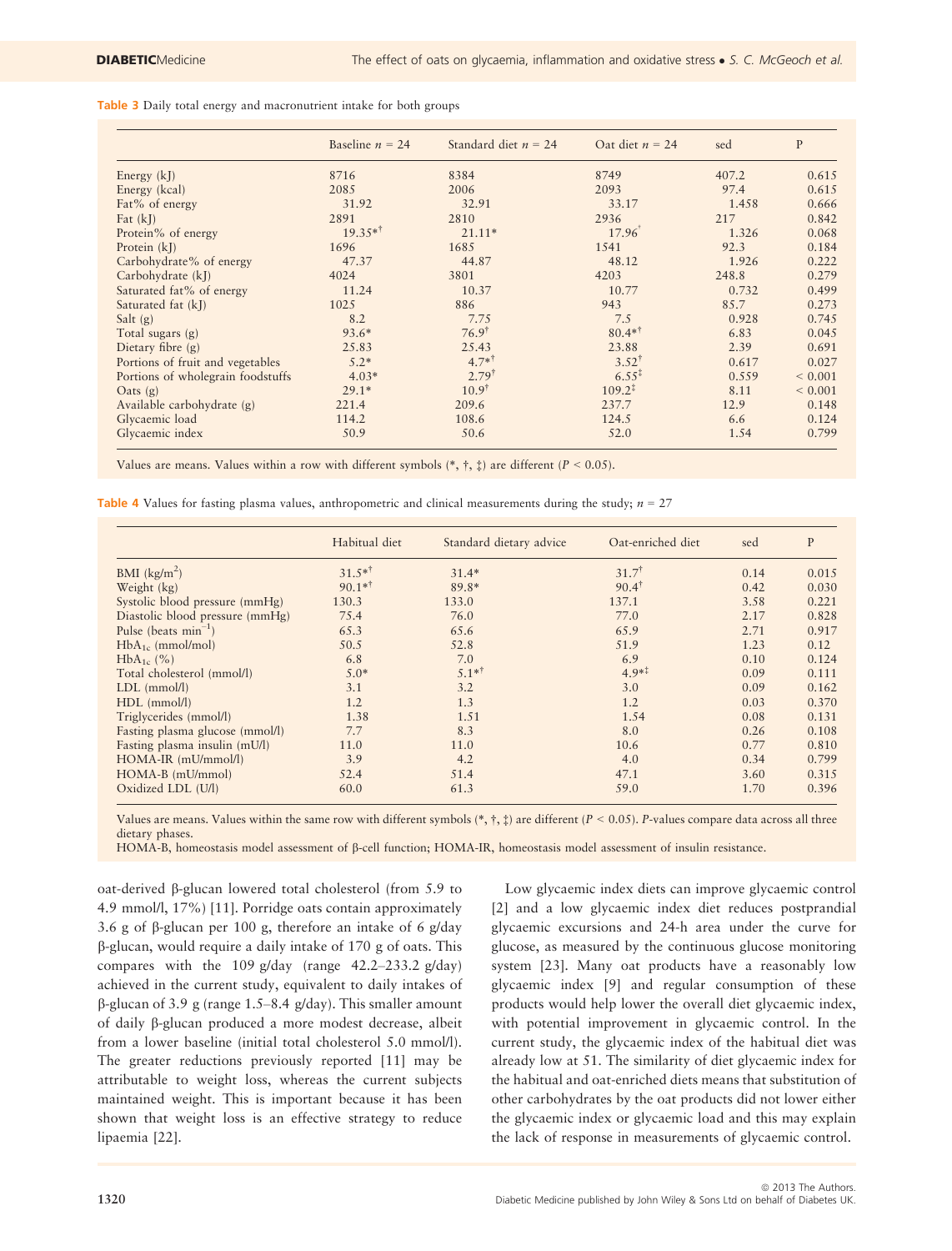Table 3 Daily total energy and macronutrient intake for both groups

|                                   | Baseline $n = 24$ | Standard diet $n = 24$ | Oat diet $n = 24$  | sed   | P           |
|-----------------------------------|-------------------|------------------------|--------------------|-------|-------------|
| Energy $(k)$                      | 8716              | 8384                   | 8749               | 407.2 | 0.615       |
| Energy (kcal)                     | 2085              | 2006                   | 2093               | 97.4  | 0.615       |
| Fat% of energy                    | 31.92             | 32.91                  | 33.17              | 1.458 | 0.666       |
| $\text{Fat}(\mathbf{k})$          | 2891              | 2810                   | 2936               | 217   | 0.842       |
| Protein% of energy                | $19.35**$         | $21.11*$               | 17.96              | 1.326 | 0.068       |
| Protein $(k)$                     | 1696              | 1685                   | 1541               | 92.3  | 0.184       |
| Carbohydrate% of energy           | 47.37             | 44.87                  | 48.12              | 1.926 | 0.222       |
| Carbohydrate (kJ)                 | 4024              | 3801                   | 4203               | 248.8 | 0.279       |
| Saturated fat% of energy          | 11.24             | 10.37                  | 10.77              | 0.732 | 0.499       |
| Saturated fat (kJ)                | 1025              | 886                    | 943                | 85.7  | 0.273       |
| Salt $(g)$                        | 8.2               | 7.75                   | 7.5                | 0.928 | 0.745       |
| Total sugars (g)                  | $93.6*$           | $76.9^{\dagger}$       | $80.4**$           | 6.83  | 0.045       |
| Dietary fibre $(g)$               | 25.83             | 25.43                  | 23.88              | 2.39  | 0.691       |
| Portions of fruit and vegetables  | $5.2*$            | $4.7*^{\dagger}$       | $3.52^{\dagger}$   | 0.617 | 0.027       |
| Portions of wholegrain foodstuffs | $4.03*$           | $2.79^{\dagger}$       | $6.55^{\ddagger}$  | 0.559 | ${}< 0.001$ |
| $\text{Oats}(\text{g})$           | $29.1*$           | $10.9^{\dagger}$       | $109.2^{\ddagger}$ | 8.11  | ${}< 0.001$ |
| Available carbohydrate (g)        | 221.4             | 209.6                  | 237.7              | 12.9  | 0.148       |
| Glycaemic load                    | 114.2             | 108.6                  | 124.5              | 6.6   | 0.124       |
| Glycaemic index                   | 50.9              | 50.6                   | 52.0               | 1.54  | 0.799       |

Values are means. Values within a row with different symbols  $(*, *, \ddagger)$  are different ( $P < 0.05$ ).

|  |  |  |  | Table 4 Values for fasting plasma values, anthropometric and clinical measurements during the study; $n = 27$ |  |  |  |  |  |
|--|--|--|--|---------------------------------------------------------------------------------------------------------------|--|--|--|--|--|
|--|--|--|--|---------------------------------------------------------------------------------------------------------------|--|--|--|--|--|

|                                 | Habitual diet | Standard dietary advice | Oat-enriched diet | sed  | $\mathbf{P}$ |
|---------------------------------|---------------|-------------------------|-------------------|------|--------------|
| BMI $(kg/m2)$                   | $31.5**$      | $31.4*$                 | $31.7^{\dagger}$  | 0.14 | 0.015        |
| Weight (kg)                     | $90.1**$      | 89.8*                   | $90.4^{\dagger}$  | 0.42 | 0.030        |
| Systolic blood pressure (mmHg)  | 130.3         | 133.0                   | 137.1             | 3.58 | 0.221        |
| Diastolic blood pressure (mmHg) | 75.4          | 76.0                    | 77.0              | 2.17 | 0.828        |
| Pulse (beats $min^{-1}$ )       | 65.3          | 65.6                    | 65.9              | 2.71 | 0.917        |
| $HbA_{1c}$ (mmol/mol)           | 50.5          | 52.8                    | 51.9              | 1.23 | 0.12         |
| $HbA_{1c}$ (%)                  | 6.8           | 7.0                     | 6.9               | 0.10 | 0.124        |
| Total cholesterol (mmol/l)      | $5.0*$        | $5.1**^{\dagger}$       | $4.9**$           | 0.09 | 0.111        |
| $LDL$ (mmol/l)                  | 3.1           | 3.2                     | 3.0               | 0.09 | 0.162        |
| $HDL$ (mmol/l)                  | 1.2           | 1.3                     | 1.2               | 0.03 | 0.370        |
| Triglycerides (mmol/l)          | 1.38          | 1.51                    | 1.54              | 0.08 | 0.131        |
| Fasting plasma glucose (mmol/l) | 7.7           | 8.3                     | 8.0               | 0.26 | 0.108        |
| Fasting plasma insulin (mU/l)   | 11.0          | 11.0                    | 10.6              | 0.77 | 0.810        |
| HOMA-IR (mU/mmol/l)             | 3.9           | 4.2                     | 4.0               | 0.34 | 0.799        |
| HOMA-B (mU/mmol)                | 52.4          | 51.4                    | 47.1              | 3.60 | 0.315        |
| Oxidized LDL (U/l)              | 60.0          | 61.3                    | 59.0              | 1.70 | 0.396        |

Values are means. Values within the same row with different symbols  $(*, *, *)$  are different ( $P < 0.05$ ). P-values compare data across all three dietary phases.

HOMA-B, homeostasis model assessment of  $\beta$ -cell function; HOMA-IR, homeostasis model assessment of insulin resistance.

oat-derived b-glucan lowered total cholesterol (from 5.9 to 4.9 mmol/l, 17%) [11]. Porridge oats contain approximately 3.6 g of  $\beta$ -glucan per 100 g, therefore an intake of 6 g/day b-glucan, would require a daily intake of 170 g of oats. This compares with the 109 g/day (range 42.2–233.2 g/day) achieved in the current study, equivalent to daily intakes of  $\beta$ -glucan of 3.9 g (range 1.5–8.4 g/day). This smaller amount of daily b-glucan produced a more modest decrease, albeit from a lower baseline (initial total cholesterol 5.0 mmol/l). The greater reductions previously reported [11] may be attributable to weight loss, whereas the current subjects maintained weight. This is important because it has been shown that weight loss is an effective strategy to reduce lipaemia [22].

Low glycaemic index diets can improve glycaemic control [2] and a low glycaemic index diet reduces postprandial glycaemic excursions and 24-h area under the curve for glucose, as measured by the continuous glucose monitoring system [23]. Many oat products have a reasonably low glycaemic index [9] and regular consumption of these products would help lower the overall diet glycaemic index, with potential improvement in glycaemic control. In the current study, the glycaemic index of the habitual diet was already low at 51. The similarity of diet glycaemic index for the habitual and oat-enriched diets means that substitution of other carbohydrates by the oat products did not lower either the glycaemic index or glycaemic load and this may explain the lack of response in measurements of glycaemic control.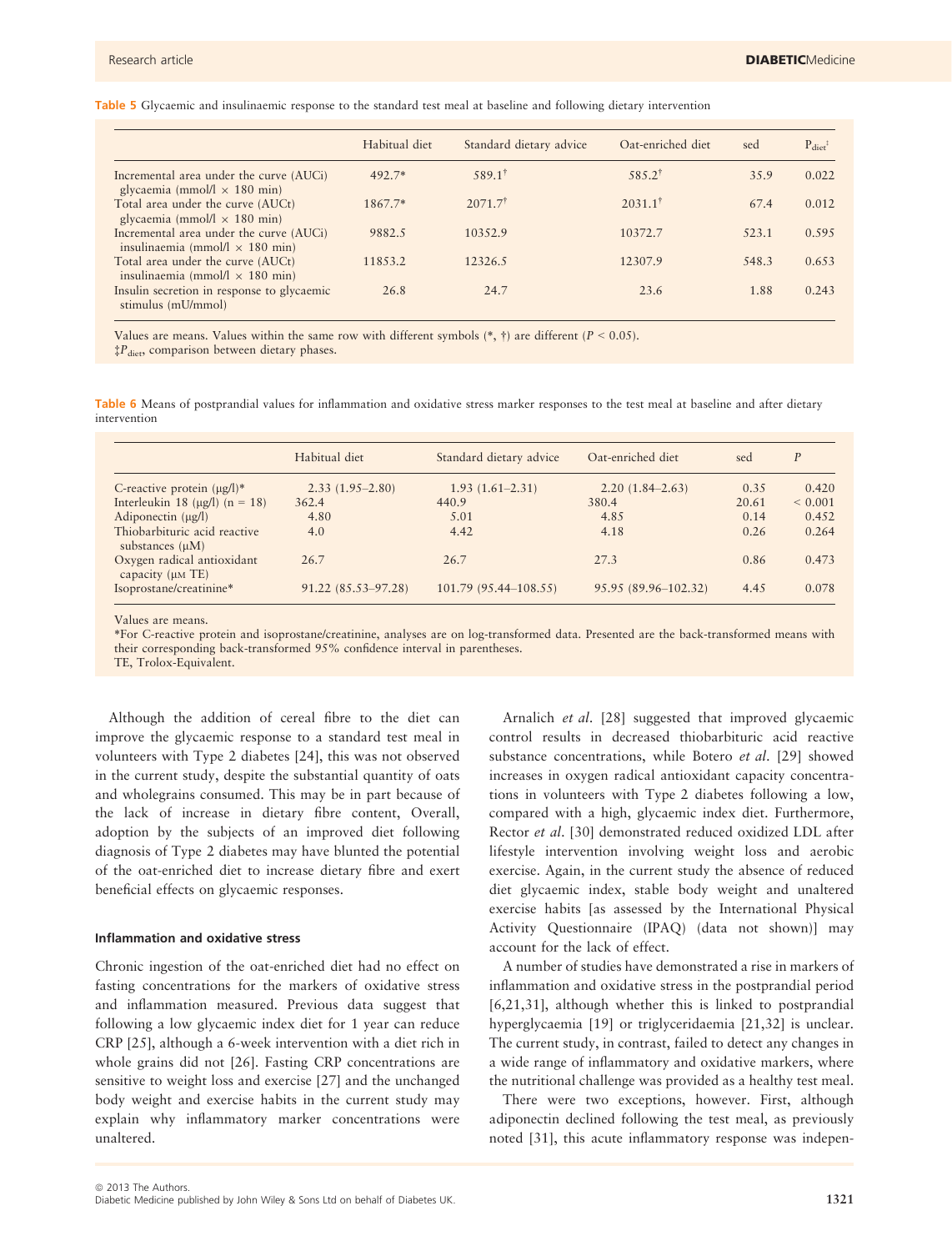|  |  |  |  |  |  |  |  |  |  |  | Table 5 Glycaemic and insulinaemic response to the standard test meal at baseline and following dietary intervention |  |  |  |  |
|--|--|--|--|--|--|--|--|--|--|--|----------------------------------------------------------------------------------------------------------------------|--|--|--|--|
|--|--|--|--|--|--|--|--|--|--|--|----------------------------------------------------------------------------------------------------------------------|--|--|--|--|

|                                                                                   | Habitual diet | Standard dietary advice | Oat-enriched diet  | sed   | $P_{\text{dict}}$ <sup>3</sup> |
|-----------------------------------------------------------------------------------|---------------|-------------------------|--------------------|-------|--------------------------------|
| Incremental area under the curve (AUCi)<br>glycaemia (mmol/l $\times$ 180 min)    | 492.7*        | $589.1^{\dagger}$       | $585.2^{\dagger}$  | 35.9  | 0.022                          |
| Total area under the curve (AUCt)<br>glycaemia (mmol/l $\times$ 180 min)          | 1867.7*       | $2071.7^{\dagger}$      | $2031.1^{\dagger}$ | 67.4  | 0.012                          |
| Incremental area under the curve (AUCi)<br>insulinaemia (mmol/l $\times$ 180 min) | 9882.5        | 10352.9                 | 10372.7            | 523.1 | 0.595                          |
| Total area under the curve (AUCt)<br>insulinaemia (mmol/l $\times$ 180 min)       | 11853.2       | 12326.5                 | 12307.9            | 548.3 | 0.653                          |
| Insulin secretion in response to glycaemic<br>stimulus (mU/mmol)                  | 26.8          | 24.7                    | 23.6               | 1.88  | 0.243                          |

Values are means. Values within the same row with different symbols  $(*, \dagger)$  are different ( $P < 0.05$ ). ‡Pdiet, comparison between dietary phases.

Table 6 Means of postprandial values for inflammation and oxidative stress marker responses to the test meal at baseline and after dietary intervention

|                                                      | Habitual diet       | Standard dietary advice | Oat-enriched diet     | sed   | P           |
|------------------------------------------------------|---------------------|-------------------------|-----------------------|-------|-------------|
| C-reactive protein $(\mu g/l)^*$                     | $2.33(1.95-2.80)$   | $1.93(1.61 - 2.31)$     | $2.20(1.84 - 2.63)$   | 0.35  | 0.420       |
| Interleukin 18 ( $\mu$ g/l) (n = 18)                 | 362.4               | 440.9                   | 380.4                 | 20.61 | ${}< 0.001$ |
| Adiponectin $(\mu g/l)$                              | 4.80                | 5.01                    | 4.85                  | 0.14  | 0.452       |
| Thiobarbituric acid reactive<br>substances $(\mu M)$ | 4.0                 | 4.42                    | 4.18                  | 0.26  | 0.264       |
| Oxygen radical antioxidant<br>capacity $(\mu M TE)$  | 26.7                | 26.7                    | 27.3                  | 0.86  | 0.473       |
| Isoprostane/creatinine*                              | 91.22 (85.53-97.28) | 101.79 (95.44–108.55)   | $95.95(89.96-102.32)$ | 4.45  | 0.078       |

Values are means.

\*For C-reactive protein and isoprostane/creatinine, analyses are on log-transformed data. Presented are the back-transformed means with their corresponding back-transformed 95% confidence interval in parentheses.

TE, Trolox-Equivalent.

Although the addition of cereal fibre to the diet can improve the glycaemic response to a standard test meal in volunteers with Type 2 diabetes [24], this was not observed in the current study, despite the substantial quantity of oats and wholegrains consumed. This may be in part because of the lack of increase in dietary fibre content, Overall, adoption by the subjects of an improved diet following diagnosis of Type 2 diabetes may have blunted the potential of the oat-enriched diet to increase dietary fibre and exert beneficial effects on glycaemic responses.

#### Inflammation and oxidative stress

Chronic ingestion of the oat-enriched diet had no effect on fasting concentrations for the markers of oxidative stress and inflammation measured. Previous data suggest that following a low glycaemic index diet for 1 year can reduce CRP [25], although a 6-week intervention with a diet rich in whole grains did not [26]. Fasting CRP concentrations are sensitive to weight loss and exercise [27] and the unchanged body weight and exercise habits in the current study may explain why inflammatory marker concentrations were unaltered.

Arnalich et al. [28] suggested that improved glycaemic control results in decreased thiobarbituric acid reactive substance concentrations, while Botero et al. [29] showed increases in oxygen radical antioxidant capacity concentrations in volunteers with Type 2 diabetes following a low, compared with a high, glycaemic index diet. Furthermore, Rector et al. [30] demonstrated reduced oxidized LDL after lifestyle intervention involving weight loss and aerobic exercise. Again, in the current study the absence of reduced diet glycaemic index, stable body weight and unaltered exercise habits [as assessed by the International Physical Activity Questionnaire (IPAQ) (data not shown)] may account for the lack of effect.

A number of studies have demonstrated a rise in markers of inflammation and oxidative stress in the postprandial period [6,21,31], although whether this is linked to postprandial hyperglycaemia [19] or triglyceridaemia [21,32] is unclear. The current study, in contrast, failed to detect any changes in a wide range of inflammatory and oxidative markers, where the nutritional challenge was provided as a healthy test meal.

There were two exceptions, however. First, although adiponectin declined following the test meal, as previously noted [31], this acute inflammatory response was indepen-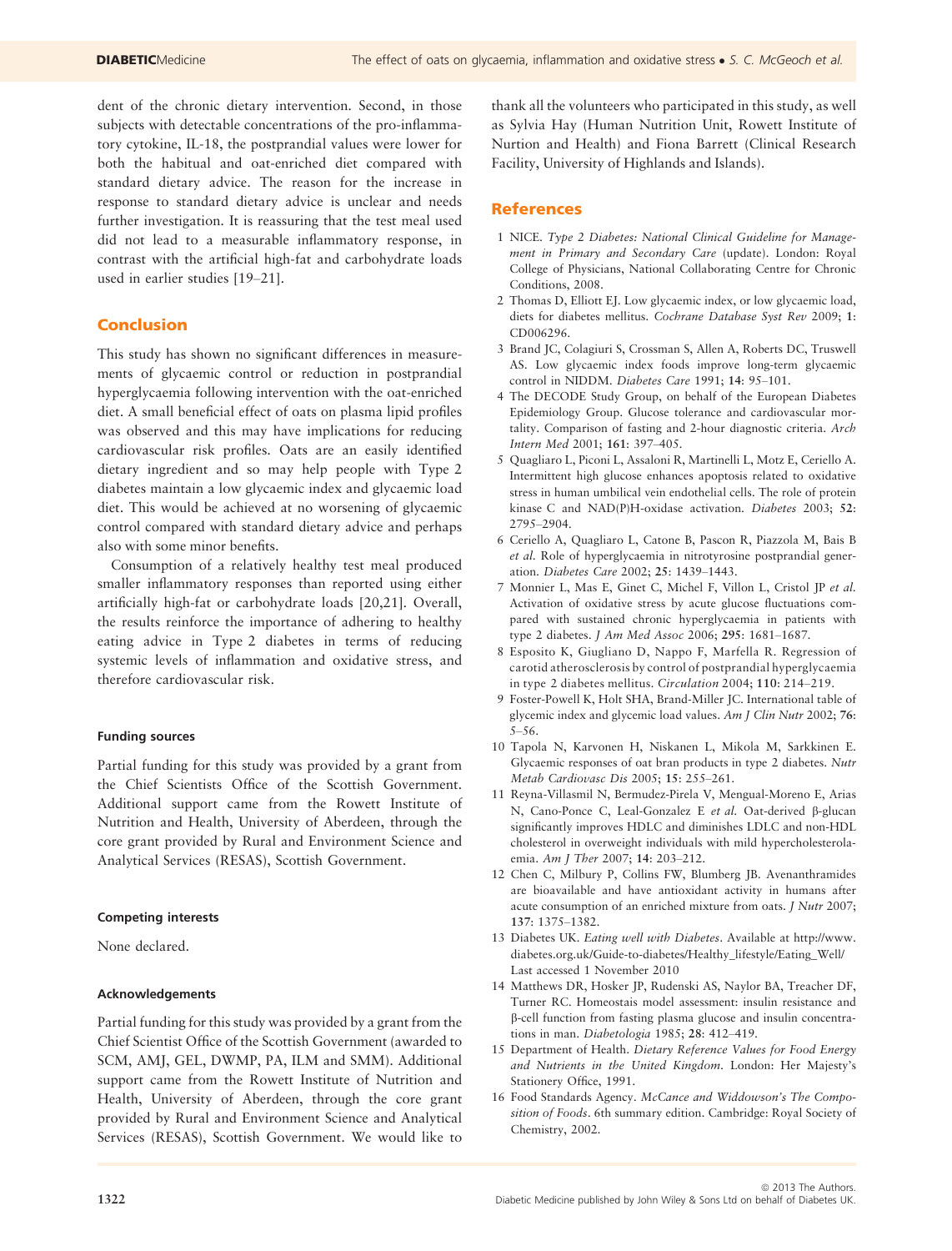dent of the chronic dietary intervention. Second, in those subjects with detectable concentrations of the pro-inflammatory cytokine, IL-18, the postprandial values were lower for both the habitual and oat-enriched diet compared with standard dietary advice. The reason for the increase in response to standard dietary advice is unclear and needs further investigation. It is reassuring that the test meal used did not lead to a measurable inflammatory response, in contrast with the artificial high-fat and carbohydrate loads used in earlier studies [19–21].

#### Conclusion

This study has shown no significant differences in measurements of glycaemic control or reduction in postprandial hyperglycaemia following intervention with the oat-enriched diet. A small beneficial effect of oats on plasma lipid profiles was observed and this may have implications for reducing cardiovascular risk profiles. Oats are an easily identified dietary ingredient and so may help people with Type 2 diabetes maintain a low glycaemic index and glycaemic load diet. This would be achieved at no worsening of glycaemic control compared with standard dietary advice and perhaps also with some minor benefits.

Consumption of a relatively healthy test meal produced smaller inflammatory responses than reported using either artificially high-fat or carbohydrate loads [20,21]. Overall, the results reinforce the importance of adhering to healthy eating advice in Type 2 diabetes in terms of reducing systemic levels of inflammation and oxidative stress, and therefore cardiovascular risk.

#### Funding sources

Partial funding for this study was provided by a grant from the Chief Scientists Office of the Scottish Government. Additional support came from the Rowett Institute of Nutrition and Health, University of Aberdeen, through the core grant provided by Rural and Environment Science and Analytical Services (RESAS), Scottish Government.

#### Competing interests

None declared.

#### Acknowledgements

Partial funding for this study was provided by a grant from the Chief Scientist Office of the Scottish Government (awarded to SCM, AMJ, GEL, DWMP, PA, ILM and SMM). Additional support came from the Rowett Institute of Nutrition and Health, University of Aberdeen, through the core grant provided by Rural and Environment Science and Analytical Services (RESAS), Scottish Government. We would like to

thank all the volunteers who participated in this study, as well as Sylvia Hay (Human Nutrition Unit, Rowett Institute of Nurtion and Health) and Fiona Barrett (Clinical Research Facility, University of Highlands and Islands).

#### **References**

- 1 NICE. Type 2 Diabetes: National Clinical Guideline for Management in Primary and Secondary Care (update). London: Royal College of Physicians, National Collaborating Centre for Chronic Conditions, 2008.
- 2 Thomas D, Elliott EJ. Low glycaemic index, or low glycaemic load, diets for diabetes mellitus. Cochrane Database Syst Rev 2009; 1: CD006296.
- 3 Brand JC, Colagiuri S, Crossman S, Allen A, Roberts DC, Truswell AS. Low glycaemic index foods improve long-term glycaemic control in NIDDM. Diabetes Care 1991; 14: 95–101.
- 4 The DECODE Study Group, on behalf of the European Diabetes Epidemiology Group. Glucose tolerance and cardiovascular mortality. Comparison of fasting and 2-hour diagnostic criteria. Arch Intern Med 2001; 161: 397–405.
- 5 Quagliaro L, Piconi L, Assaloni R, Martinelli L, Motz E, Ceriello A. Intermittent high glucose enhances apoptosis related to oxidative stress in human umbilical vein endothelial cells. The role of protein kinase C and NAD(P)H-oxidase activation. Diabetes 2003; 52: 2795–2904.
- 6 Ceriello A, Quagliaro L, Catone B, Pascon R, Piazzola M, Bais B et al. Role of hyperglycaemia in nitrotyrosine postprandial generation. Diabetes Care 2002; 25: 1439–1443.
- 7 Monnier L, Mas E, Ginet C, Michel F, Villon L, Cristol JP et al. Activation of oxidative stress by acute glucose fluctuations compared with sustained chronic hyperglycaemia in patients with type 2 diabetes. J Am Med Assoc 2006; 295: 1681–1687.
- 8 Esposito K, Giugliano D, Nappo F, Marfella R. Regression of carotid atherosclerosis by control of postprandial hyperglycaemia in type 2 diabetes mellitus. Circulation 2004; 110: 214–219.
- 9 Foster-Powell K, Holt SHA, Brand-Miller JC. International table of glycemic index and glycemic load values. Am J Clin Nutr 2002; 76: 5–56.
- 10 Tapola N, Karvonen H, Niskanen L, Mikola M, Sarkkinen E. Glycaemic responses of oat bran products in type 2 diabetes. Nutr Metab Cardiovasc Dis 2005; 15: 255–261.
- 11 Reyna-Villasmil N, Bermudez-Pirela V, Mengual-Moreno E, Arias N, Cano-Ponce C, Leal-Gonzalez E et al. Oat-derived β-glucan significantly improves HDLC and diminishes LDLC and non-HDL cholesterol in overweight individuals with mild hypercholesterolaemia. Am J Ther 2007; 14: 203-212.
- 12 Chen C, Milbury P, Collins FW, Blumberg JB. Avenanthramides are bioavailable and have antioxidant activity in humans after acute consumption of an enriched mixture from oats. J Nutr 2007; 137: 1375–1382.
- 13 Diabetes UK. Eating well with Diabetes. Available at http://www. diabetes.org.uk/Guide-to-diabetes/Healthy\_lifestyle/Eating\_Well/ Last accessed 1 November 2010
- 14 Matthews DR, Hosker JP, Rudenski AS, Naylor BA, Treacher DF, Turner RC. Homeostais model assessment: insulin resistance and b-cell function from fasting plasma glucose and insulin concentrations in man. Diabetologia 1985; 28: 412–419.
- 15 Department of Health. Dietary Reference Values for Food Energy and Nutrients in the United Kingdom. London: Her Majesty's Stationery Office, 1991.
- 16 Food Standards Agency. McCance and Widdowson's The Composition of Foods. 6th summary edition. Cambridge: Royal Society of Chemistry, 2002.